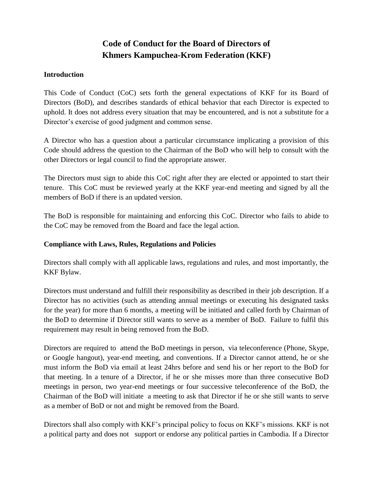# **Code of Conduct for the Board of Directors of Khmers Kampuchea-Krom Federation (KKF)**

#### **Introduction**

This Code of Conduct (CoC) sets forth the general expectations of KKF for its Board of Directors (BoD), and describes standards of ethical behavior that each Director is expected to uphold. It does not address every situation that may be encountered, and is not a substitute for a Director's exercise of good judgment and common sense.

A Director who has a question about a particular circumstance implicating a provision of this Code should address the question to the Chairman of the BoD who will help to consult with the other Directors or legal council to find the appropriate answer.

The Directors must sign to abide this CoC right after they are elected or appointed to start their tenure. This CoC must be reviewed yearly at the KKF year-end meeting and signed by all the members of BoD if there is an updated version.

The BoD is responsible for maintaining and enforcing this CoC. Director who fails to abide to the CoC may be removed from the Board and face the legal action.

#### **Compliance with Laws, Rules, Regulations and Policies**

Directors shall comply with all applicable laws, regulations and rules, and most importantly, the KKF Bylaw.

Directors must understand and fulfill their responsibility as described in their job description. If a Director has no activities (such as attending annual meetings or executing his designated tasks for the year) for more than 6 months, a meeting will be initiated and called forth by Chairman of the BoD to determine if Director still wants to serve as a member of BoD. Failure to fulfil this requirement may result in being removed from the BoD.

Directors are required to attend the BoD meetings in person, via teleconference (Phone, Skype, or Google hangout), year-end meeting, and conventions. If a Director cannot attend, he or she must inform the BoD via email at least 24hrs before and send his or her report to the BoD for that meeting. In a tenure of a Director, if he or she misses more than three consecutive BoD meetings in person, two year-end meetings or four successive teleconference of the BoD, the Chairman of the BoD will initiate a meeting to ask that Director if he or she still wants to serve as a member of BoD or not and might be removed from the Board.

Directors shall also comply with KKF's principal policy to focus on KKF's missions. KKF is not a political party and does not support or endorse any political parties in Cambodia. If a Director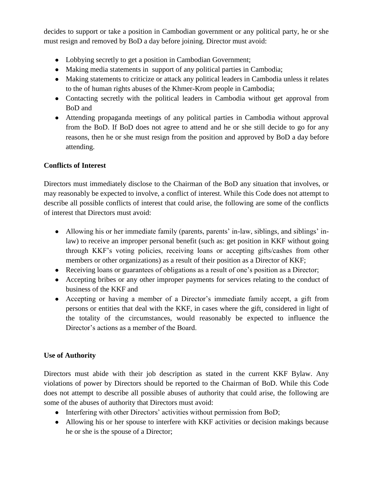decides to support or take a position in Cambodian government or any political party, he or she must resign and removed by BoD a day before joining. Director must avoid:

- Lobbying secretly to get a position in Cambodian Government;
- Making media statements in support of any political parties in Cambodia;
- Making statements to criticize or attack any political leaders in Cambodia unless it relates to the of human rights abuses of the Khmer-Krom people in Cambodia;
- Contacting secretly with the political leaders in Cambodia without get approval from BoD and
- Attending propaganda meetings of any political parties in Cambodia without approval from the BoD. If BoD does not agree to attend and he or she still decide to go for any reasons, then he or she must resign from the position and approved by BoD a day before attending.

## **Conflicts of Interest**

Directors must immediately disclose to the Chairman of the BoD any situation that involves, or may reasonably be expected to involve, a conflict of interest. While this Code does not attempt to describe all possible conflicts of interest that could arise, the following are some of the conflicts of interest that Directors must avoid:

- Allowing his or her immediate family (parents, parents' in-law, siblings, and siblings' inlaw) to receive an improper personal benefit (such as: get position in KKF without going through KKF's voting policies, receiving loans or accepting gifts/cashes from other members or other organizations) as a result of their position as a Director of KKF;
- Receiving loans or guarantees of obligations as a result of one's position as a Director;
- Accepting bribes or any other improper payments for services relating to the conduct of business of the KKF and
- Accepting or having a member of a Director's immediate family accept, a gift from persons or entities that deal with the KKF, in cases where the gift, considered in light of the totality of the circumstances, would reasonably be expected to influence the Director's actions as a member of the Board.

## **Use of Authority**

Directors must abide with their job description as stated in the current KKF Bylaw. Any violations of power by Directors should be reported to the Chairman of BoD. While this Code does not attempt to describe all possible abuses of authority that could arise, the following are some of the abuses of authority that Directors must avoid:

- Interfering with other Directors' activities without permission from BoD;
- Allowing his or her spouse to interfere with KKF activities or decision makings because he or she is the spouse of a Director;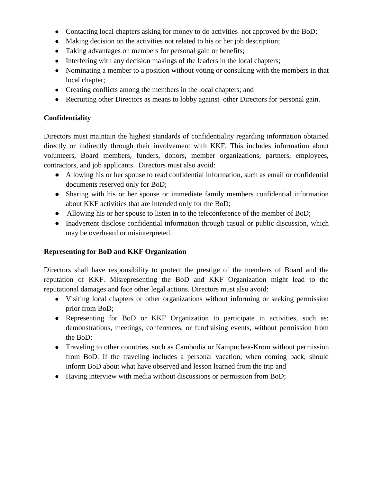- Contacting local chapters asking for money to do activities not approved by the BoD;
- Making decision on the activities not related to his or her job description;
- Taking advantages on members for personal gain or benefits;
- Interfering with any decision makings of the leaders in the local chapters;
- Nominating a member to a position without voting or consulting with the members in that local chapter;
- Creating conflicts among the members in the local chapters; and
- Recruiting other Directors as means to lobby against other Directors for personal gain.

#### **Confidentiality**

Directors must maintain the highest standards of confidentiality regarding information obtained directly or indirectly through their involvement with KKF. This includes information about volunteers, Board members, funders, donors, member organizations, partners, employees, contractors, and job applicants. Directors must also avoid:

- Allowing his or her spouse to read confidential information, such as email or confidential documents reserved only for BoD;
- Sharing with his or her spouse or immediate family members confidential information about KKF activities that are intended only for the BoD;
- Allowing his or her spouse to listen in to the teleconference of the member of BoD;
- Inadvertent disclose confidential information through casual or public discussion, which may be overheard or misinterpreted.

#### **Representing for BoD and KKF Organization**

Directors shall have responsibility to protect the prestige of the members of Board and the reputation of KKF. Misrepresenting the BoD and KKF Organization might lead to the reputational damages and face other legal actions. Directors must also avoid:

- Visiting local chapters or other organizations without informing or seeking permission prior from BoD;
- Representing for BoD or KKF Organization to participate in activities, such as: demonstrations, meetings, conferences, or fundraising events, without permission from the BoD;
- Traveling to other countries, such as Cambodia or Kampuchea-Krom without permission from BoD. If the traveling includes a personal vacation, when coming back, should inform BoD about what have observed and lesson learned from the trip and
- Having interview with media without discussions or permission from BoD;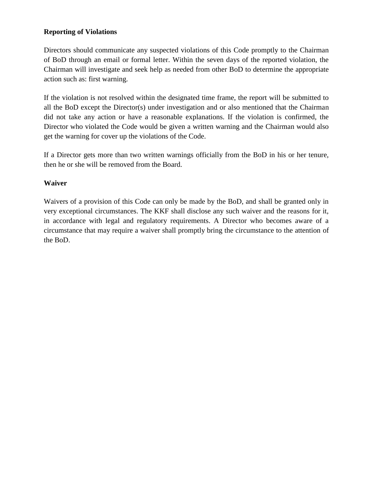#### **Reporting of Violations**

Directors should communicate any suspected violations of this Code promptly to the Chairman of BoD through an email or formal letter. Within the seven days of the reported violation, the Chairman will investigate and seek help as needed from other BoD to determine the appropriate action such as: first warning.

If the violation is not resolved within the designated time frame, the report will be submitted to all the BoD except the Director(s) under investigation and or also mentioned that the Chairman did not take any action or have a reasonable explanations. If the violation is confirmed, the Director who violated the Code would be given a written warning and the Chairman would also get the warning for cover up the violations of the Code.

If a Director gets more than two written warnings officially from the BoD in his or her tenure, then he or she will be removed from the Board.

#### **Waiver**

Waivers of a provision of this Code can only be made by the BoD, and shall be granted only in very exceptional circumstances. The KKF shall disclose any such waiver and the reasons for it, in accordance with legal and regulatory requirements. A Director who becomes aware of a circumstance that may require a waiver shall promptly bring the circumstance to the attention of the BoD.